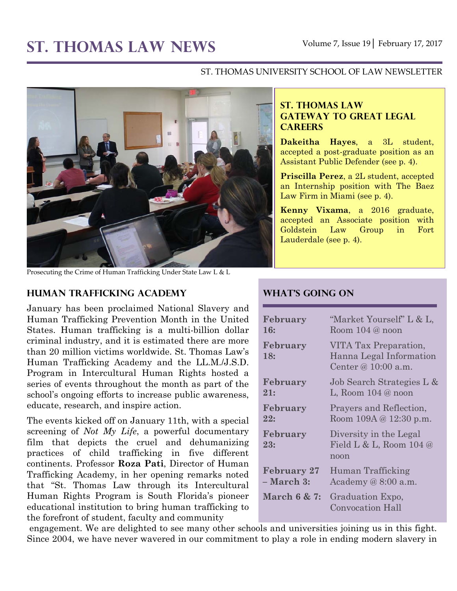# ST. THOMAS LAW NEWS Volume 7, Issue 19 February 17, 2017

#### ST. THOMAS UNIVERSITY SCHOOL OF LAW NEWSLETTER



Prosecuting the Crime of Human Trafficking Under State Law L & L

#### **Human Trafficking Academy**

January has been proclaimed National Slavery and Human Trafficking Prevention Month in the United States. Human trafficking is a multi-billion dollar criminal industry, and it is estimated there are more than 20 million victims worldwide. St. Thomas Law's Human Trafficking Academy and the LL.M./J.S.D. Program in Intercultural Human Rights hosted a series of events throughout the month as part of the school's ongoing efforts to increase public awareness, educate, research, and inspire action.

The events kicked off on January 11th, with a special screening of *Not My Life*, a powerful documentary film that depicts the cruel and dehumanizing practices of child trafficking in five different continents. Professor **Roza Pati**, Director of Human Trafficking Academy, in her opening remarks noted that "St. Thomas Law through its Intercultural Human Rights Program is South Florida's pioneer educational institution to bring human trafficking to the forefront of student, faculty and community

#### **ST. THOMAS LAW GATEWAY TO GREAT LEGAL CAREERS**

**Dakeitha Hayes**, a 3L student, accepted a post-graduate position as an Assistant Public Defender (see p. 4).

**Priscilla Perez**, a 2L student, accepted an Internship position with The Baez Law Firm in Miami (see p. 4).

**Kenny Vixama**, a 2016 graduate, accepted an Associate position with Goldstein Law Group in Fort Lauderdale (see p. 4).

# **What's Going On**

| February                | "Market Yourself" L & L,                                                  |
|-------------------------|---------------------------------------------------------------------------|
| <b>16:</b>              | Room $104@$ noon                                                          |
| February<br>18:         | VITA Tax Preparation,<br>Hanna Legal Information<br>Center @ $10:00$ a.m. |
| February                | Job Search Strategies L &                                                 |
| 21:                     | L, Room $104@$ noon                                                       |
| February                | Prayers and Reflection,                                                   |
| 22:                     | Room $109A @ 12:30 p.m.$                                                  |
| February<br>23:         | Diversity in the Legal<br>Field L & L, Room $104 \&$<br>noon              |
| <b>February 27</b>      | Human Trafficking                                                         |
| – March 3:              | Academy $@8:00$ a.m.                                                      |
| <b>March 6 &amp; 7:</b> | Graduation Expo,<br>Convocation Hall                                      |

engagement. We are delighted to see many other schools and universities joining us in this fight. Since 2004, we have never wavered in our commitment to play a role in ending modern slavery in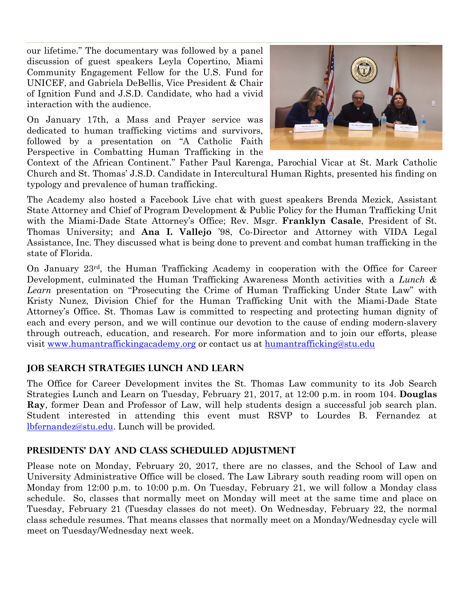our lifetime." The documentary was followed by a panel discussion of guest speakers Leyla Copertino, Miami Community Engagement Fellow for the U.S. Fund for UNICEF, and Gabriela DeBellis, Vice President & Chair of Ignition Fund and J.S.D. Candidate, who had a vivid interaction with the audience.

On January 17th, a Mass and Prayer service was dedicated to human trafficking victims and survivors, followed by a presentation on "A Catholic Faith Perspective in Combatting Human Trafficking in the



Context of the African Continent." Father Paul Karenga, Parochial Vicar at St. Mark Catholic Church and St. Thomas' J.S.D. Candidate in Intercultural Human Rights, presented his finding on typology and prevalence of human trafficking.

The Academy also hosted a Facebook Live chat with guest speakers Brenda Mezick, Assistant State Attorney and Chief of Program Development & Public Policy for the Human Trafficking Unit with the Miami-Dade State Attorney's Office; Rev. Msgr. **Franklyn Casale**, President of St. Thomas University; and **Ana I. Vallejo** '98, Co-Director and Attorney with VIDA Legal Assistance, Inc. They discussed what is being done to prevent and combat human trafficking in the state of Florida.

On January 23rd, the Human Trafficking Academy in cooperation with the Office for Career Development, culminated the Human Trafficking Awareness Month activities with a *Lunch & Learn* presentation on "Prosecuting the Crime of Human Trafficking Under State Law" with Kristy Nunez, Division Chief for the Human Trafficking Unit with the Miami-Dade State Attorney's Office. St. Thomas Law is committed to respecting and protecting human dignity of each and every person, and we will continue our devotion to the cause of ending modern-slavery through outreach, education, and research. For more information and to join our efforts, please visit [www.humantraffickingacademy.org](http://www.humantraffickingacademy.org/) or contact us at [humantrafficking@stu.edu](mailto:humantrafficking@stu.edu)

## **Job Search Strategies Lunch and Learn**

The Office for Career Development invites the St. Thomas Law community to its Job Search Strategies Lunch and Learn on Tuesday, February 21, 2017, at 12:00 p.m. in room 104. **Douglas Ray**, former Dean and Professor of Law, will help students design a successful job search plan. Student interested in attending this event must RSVP to Lourdes B. Fernandez at [lbfernandez@stu.edu.](mailto:lbfernandez@stu.edu) Lunch will be provided.

## **Presidents' Day and Class Scheduled Adjustment**

Please note on Monday, February 20, 2017, there are no classes, and the School of Law and University Administrative Office will be closed. The Law Library south reading room will open on Monday from 12:00 p.m. to 10:00 p.m. On Tuesday, February 21, we will follow a Monday class schedule. So, classes that normally meet on Monday will meet at the same time and place on Tuesday, February 21 (Tuesday classes do not meet). On Wednesday, February 22, the normal class schedule resumes. That means classes that normally meet on a Monday/Wednesday cycle will meet on Tuesday/Wednesday next week.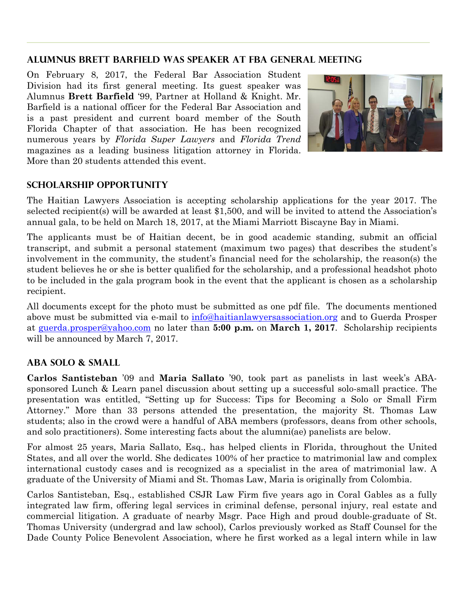## **Alumnus Brett Barfield was Speaker at FBA General Meeting**

On February 8, 2017, the Federal Bar Association Student Division had its first general meeting. Its guest speaker was Alumnus **Brett Barfield** '99, Partner at Holland & Knight. Mr. Barfield is a national officer for the Federal Bar Association and is a past president and current board member of the South Florida Chapter of that association. He has been recognized numerous years by *Florida Super Lawyers* and *Florida Trend* magazines as a leading business litigation attorney in Florida. More than 20 students attended this event.



# **Scholarship Opportunity**

The Haitian Lawyers Association is accepting scholarship applications for the year 2017. The selected recipient(s) will be awarded at least \$1,500, and will be invited to attend the Association's annual gala, to be held on March 18, 2017, at the Miami Marriott Biscayne Bay in Miami.

The applicants must be of Haitian decent, be in good academic standing, submit an official transcript, and submit a personal statement (maximum two pages) that describes the student's involvement in the community, the student's financial need for the scholarship, the reason(s) the student believes he or she is better qualified for the scholarship, and a professional headshot photo to be included in the gala program book in the event that the applicant is chosen as a scholarship recipient.

All documents except for the photo must be submitted as one pdf file. The documents mentioned above must be submitted via e-mail to [info@haitianlawyersassociation.org](mailto:info@haitianlawyersassociation.org) and to Guerda Prosper at [guerda.prosper@yahoo.com](mailto:guerda.prosper@yahoo.com) no later than **5:00 p.m.** on **March 1, 2017**. Scholarship recipients will be announced by March 7, 2017.

# **ABA Solo & Small**

**Carlos Santisteban** '09 and **Maria Sallato** '90, took part as panelists in last week's ABAsponsored Lunch & Learn panel discussion about setting up a successful solo-small practice. The presentation was entitled, "Setting up for Success: Tips for Becoming a Solo or Small Firm Attorney." More than 33 persons attended the presentation, the majority St. Thomas Law students; also in the crowd were a handful of ABA members (professors, deans from other schools, and solo practitioners). Some interesting facts about the alumni(ae) panelists are below.

For almost 25 years, Maria Sallato, Esq., has helped clients in Florida, throughout the United States, and all over the world. She dedicates 100% of her practice to matrimonial law and complex international custody cases and is recognized as a specialist in the area of matrimonial law. A graduate of the University of Miami and St. Thomas Law, Maria is originally from Colombia.

Carlos Santisteban, Esq., established CSJR Law Firm five years ago in Coral Gables as a fully integrated law firm, offering legal services in criminal defense, personal injury, real estate and commercial litigation. A graduate of nearby Msgr. Pace High and proud double-graduate of St. Thomas University (undergrad and law school), Carlos previously worked as Staff Counsel for the Dade County Police Benevolent Association, where he first worked as a legal intern while in law